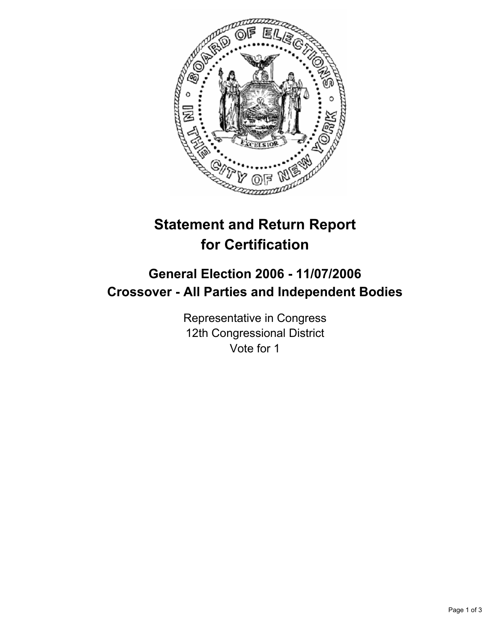

# **Statement and Return Report for Certification**

## **General Election 2006 - 11/07/2006 Crossover - All Parties and Independent Bodies**

Representative in Congress 12th Congressional District Vote for 1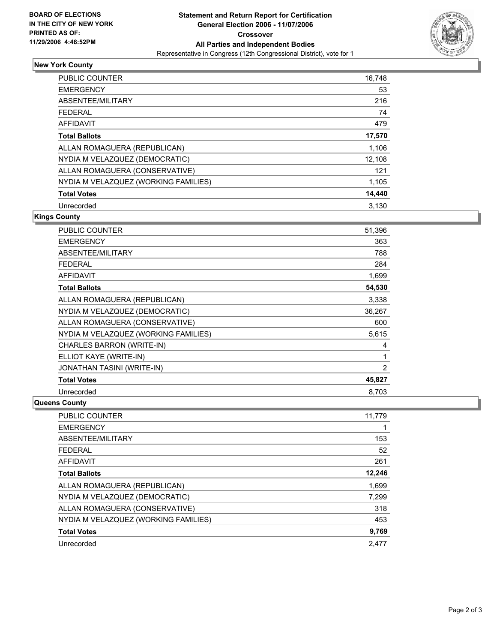

### **New York County**

| <b>PUBLIC COUNTER</b>                | 16,748 |
|--------------------------------------|--------|
| <b>EMERGENCY</b>                     | 53     |
| ABSENTEE/MILITARY                    | 216    |
| FEDERAL                              | 74     |
| AFFIDAVIT                            | 479    |
| <b>Total Ballots</b>                 | 17,570 |
| ALLAN ROMAGUERA (REPUBLICAN)         | 1,106  |
| NYDIA M VELAZQUEZ (DEMOCRATIC)       | 12,108 |
| ALLAN ROMAGUERA (CONSERVATIVE)       | 121    |
| NYDIA M VELAZQUEZ (WORKING FAMILIES) | 1,105  |
| <b>Total Votes</b>                   | 14,440 |
| Unrecorded                           | 3.130  |

#### **Kings County**

| <b>PUBLIC COUNTER</b>                | 51,396 |
|--------------------------------------|--------|
| <b>EMERGENCY</b>                     | 363    |
| ABSENTEE/MILITARY                    | 788    |
| <b>FEDERAL</b>                       | 284    |
| <b>AFFIDAVIT</b>                     | 1,699  |
| <b>Total Ballots</b>                 | 54,530 |
| ALLAN ROMAGUERA (REPUBLICAN)         | 3,338  |
| NYDIA M VELAZQUEZ (DEMOCRATIC)       | 36,267 |
| ALLAN ROMAGUERA (CONSERVATIVE)       | 600    |
| NYDIA M VELAZQUEZ (WORKING FAMILIES) | 5,615  |
| CHARLES BARRON (WRITE-IN)            | 4      |
| ELLIOT KAYE (WRITE-IN)               |        |
| <b>JONATHAN TASINI (WRITE-IN)</b>    | 2      |
| <b>Total Votes</b>                   | 45,827 |
| Unrecorded                           | 8.703  |

#### **Queens County**

| PUBLIC COUNTER                       | 11,779 |
|--------------------------------------|--------|
| <b>EMERGENCY</b>                     |        |
| ABSENTEE/MILITARY                    | 153    |
| <b>FEDERAL</b>                       | 52     |
| AFFIDAVIT                            | 261    |
| <b>Total Ballots</b>                 | 12,246 |
| ALLAN ROMAGUERA (REPUBLICAN)         | 1,699  |
| NYDIA M VELAZQUEZ (DEMOCRATIC)       | 7,299  |
| ALLAN ROMAGUERA (CONSERVATIVE)       | 318    |
| NYDIA M VELAZQUEZ (WORKING FAMILIES) | 453    |
| <b>Total Votes</b>                   | 9,769  |
| Unrecorded                           | 2.477  |